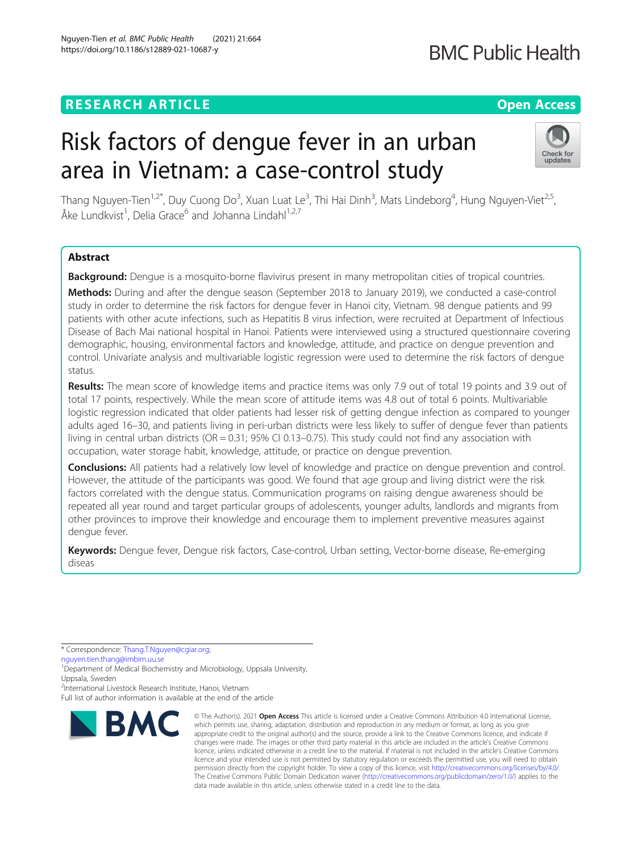# **RESEARCH ARTICLE Example 2014 12:30 The Open Access**

# Risk factors of dengue fever in an urban area in Vietnam: a case-control study

Thang Nguyen-Tien<sup>1,2\*</sup>, Duy Cuong Do<sup>3</sup>, Xuan Luat Le<sup>3</sup>, Thi Hai Dinh<sup>3</sup>, Mats Lindeborg<sup>4</sup>, Hung Nguyen-Viet<sup>2,5</sup>, Åke Lundkvist<sup>1</sup>, Delia Grace<sup>6</sup> and Johanna Lindahl<sup>1,2,7</sup>

# Abstract

Background: Dengue is a mosquito-borne flavivirus present in many metropolitan cities of tropical countries.

Methods: During and after the dengue season (September 2018 to January 2019), we conducted a case-control study in order to determine the risk factors for dengue fever in Hanoi city, Vietnam. 98 dengue patients and 99 patients with other acute infections, such as Hepatitis B virus infection, were recruited at Department of Infectious Disease of Bach Mai national hospital in Hanoi. Patients were interviewed using a structured questionnaire covering demographic, housing, environmental factors and knowledge, attitude, and practice on dengue prevention and control. Univariate analysis and multivariable logistic regression were used to determine the risk factors of dengue status.

Results: The mean score of knowledge items and practice items was only 7.9 out of total 19 points and 3.9 out of total 17 points, respectively. While the mean score of attitude items was 4.8 out of total 6 points. Multivariable logistic regression indicated that older patients had lesser risk of getting dengue infection as compared to younger adults aged 16–30, and patients living in peri-urban districts were less likely to suffer of dengue fever than patients living in central urban districts (OR = 0.31; 95% CI 0.13–0.75). This study could not find any association with occupation, water storage habit, knowledge, attitude, or practice on dengue prevention.

**Conclusions:** All patients had a relatively low level of knowledge and practice on dengue prevention and control. However, the attitude of the participants was good. We found that age group and living district were the risk factors correlated with the dengue status. Communication programs on raising dengue awareness should be repeated all year round and target particular groups of adolescents, younger adults, landlords and migrants from other provinces to improve their knowledge and encourage them to implement preventive measures against dengue fever.

Keywords: Dengue fever, Dengue risk factors, Case-control, Urban setting, Vector-borne disease, Re-emerging diseas

\* Correspondence: [Thang.T.Nguyen@cgiar.org](mailto:Thang.T.Nguyen@cgiar.org);

[nguyen.tien.thang@imbim.uu.se](mailto:nguyen.tien.thang@imbim.uu.se)

Full list of author information is available at the end of the article



<sup>©</sup> The Author(s), 2021 **Open Access** This article is licensed under a Creative Commons Attribution 4.0 International License, which permits use, sharing, adaptation, distribution and reproduction in any medium or format, as long as you give appropriate credit to the original author(s) and the source, provide a link to the Creative Commons licence, and indicate if changes were made. The images or other third party material in this article are included in the article's Creative Commons licence, unless indicated otherwise in a credit line to the material. If material is not included in the article's Creative Commons licence and your intended use is not permitted by statutory regulation or exceeds the permitted use, you will need to obtain permission directly from the copyright holder. To view a copy of this licence, visit [http://creativecommons.org/licenses/by/4.0/.](http://creativecommons.org/licenses/by/4.0/) The Creative Commons Public Domain Dedication waiver [\(http://creativecommons.org/publicdomain/zero/1.0/](http://creativecommons.org/publicdomain/zero/1.0/)) applies to the data made available in this article, unless otherwise stated in a credit line to the data.



<sup>&</sup>lt;sup>1</sup>Department of Medical Biochemistry and Microbiology, Uppsala University, Uppsala, Sweden

<sup>2</sup> International Livestock Research Institute, Hanoi, Vietnam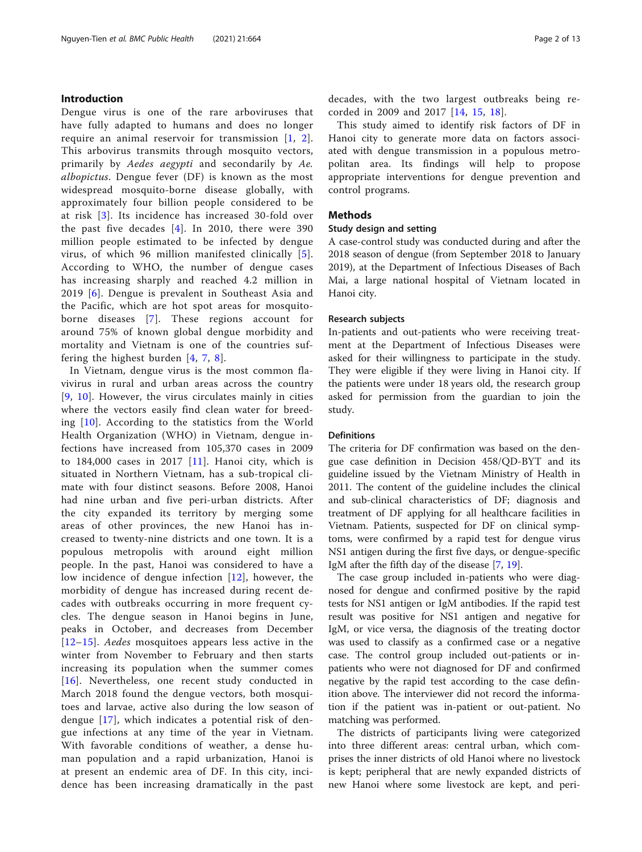# Introduction

Dengue virus is one of the rare arboviruses that have fully adapted to humans and does no longer require an animal reservoir for transmission  $[1, 2]$  $[1, 2]$  $[1, 2]$  $[1, 2]$ . This arbovirus transmits through mosquito vectors, primarily by Aedes aegypti and secondarily by Ae. albopictus. Dengue fever (DF) is known as the most widespread mosquito-borne disease globally, with approximately four billion people considered to be at risk [[3](#page-11-0)]. Its incidence has increased 30-fold over the past five decades [[4](#page-11-0)]. In 2010, there were 390 million people estimated to be infected by dengue virus, of which 96 million manifested clinically [[5\]](#page-11-0). According to WHO, the number of dengue cases has increasing sharply and reached 4.2 million in 2019 [[6](#page-11-0)]. Dengue is prevalent in Southeast Asia and the Pacific, which are hot spot areas for mosquitoborne diseases [\[7\]](#page-11-0). These regions account for around 75% of known global dengue morbidity and mortality and Vietnam is one of the countries suffering the highest burden [[4](#page-11-0), [7,](#page-11-0) [8](#page-11-0)].

In Vietnam, dengue virus is the most common flavivirus in rural and urban areas across the country [[9](#page-11-0), [10\]](#page-11-0). However, the virus circulates mainly in cities where the vectors easily find clean water for breeding [[10](#page-11-0)]. According to the statistics from the World Health Organization (WHO) in Vietnam, dengue infections have increased from 105,370 cases in 2009 to  $184,000$  cases in 2017 [[11](#page-11-0)]. Hanoi city, which is situated in Northern Vietnam, has a sub-tropical climate with four distinct seasons. Before 2008, Hanoi had nine urban and five peri-urban districts. After the city expanded its territory by merging some areas of other provinces, the new Hanoi has increased to twenty-nine districts and one town. It is a populous metropolis with around eight million people. In the past, Hanoi was considered to have a low incidence of dengue infection [[12\]](#page-11-0), however, the morbidity of dengue has increased during recent decades with outbreaks occurring in more frequent cycles. The dengue season in Hanoi begins in June, peaks in October, and decreases from December [[12](#page-11-0)–[15\]](#page-11-0). Aedes mosquitoes appears less active in the winter from November to February and then starts increasing its population when the summer comes [[16](#page-11-0)]. Nevertheless, one recent study conducted in March 2018 found the dengue vectors, both mosquitoes and larvae, active also during the low season of dengue [[17](#page-11-0)], which indicates a potential risk of dengue infections at any time of the year in Vietnam. With favorable conditions of weather, a dense human population and a rapid urbanization, Hanoi is at present an endemic area of DF. In this city, incidence has been increasing dramatically in the past decades, with the two largest outbreaks being recorded in 2009 and 2017 [[14,](#page-11-0) [15](#page-11-0), [18\]](#page-11-0).

This study aimed to identify risk factors of DF in Hanoi city to generate more data on factors associated with dengue transmission in a populous metropolitan area. Its findings will help to propose appropriate interventions for dengue prevention and control programs.

# Methods

# Study design and setting

A case-control study was conducted during and after the 2018 season of dengue (from September 2018 to January 2019), at the Department of Infectious Diseases of Bach Mai, a large national hospital of Vietnam located in Hanoi city.

# Research subjects

In-patients and out-patients who were receiving treatment at the Department of Infectious Diseases were asked for their willingness to participate in the study. They were eligible if they were living in Hanoi city. If the patients were under 18 years old, the research group asked for permission from the guardian to join the study.

# Definitions

The criteria for DF confirmation was based on the dengue case definition in Decision 458/QD-BYT and its guideline issued by the Vietnam Ministry of Health in 2011. The content of the guideline includes the clinical and sub-clinical characteristics of DF; diagnosis and treatment of DF applying for all healthcare facilities in Vietnam. Patients, suspected for DF on clinical symptoms, were confirmed by a rapid test for dengue virus NS1 antigen during the first five days, or dengue-specific IgM after the fifth day of the disease [\[7,](#page-11-0) [19\]](#page-11-0).

The case group included in-patients who were diagnosed for dengue and confirmed positive by the rapid tests for NS1 antigen or IgM antibodies. If the rapid test result was positive for NS1 antigen and negative for IgM, or vice versa, the diagnosis of the treating doctor was used to classify as a confirmed case or a negative case. The control group included out-patients or inpatients who were not diagnosed for DF and confirmed negative by the rapid test according to the case definition above. The interviewer did not record the information if the patient was in-patient or out-patient. No matching was performed.

The districts of participants living were categorized into three different areas: central urban, which comprises the inner districts of old Hanoi where no livestock is kept; peripheral that are newly expanded districts of new Hanoi where some livestock are kept, and peri-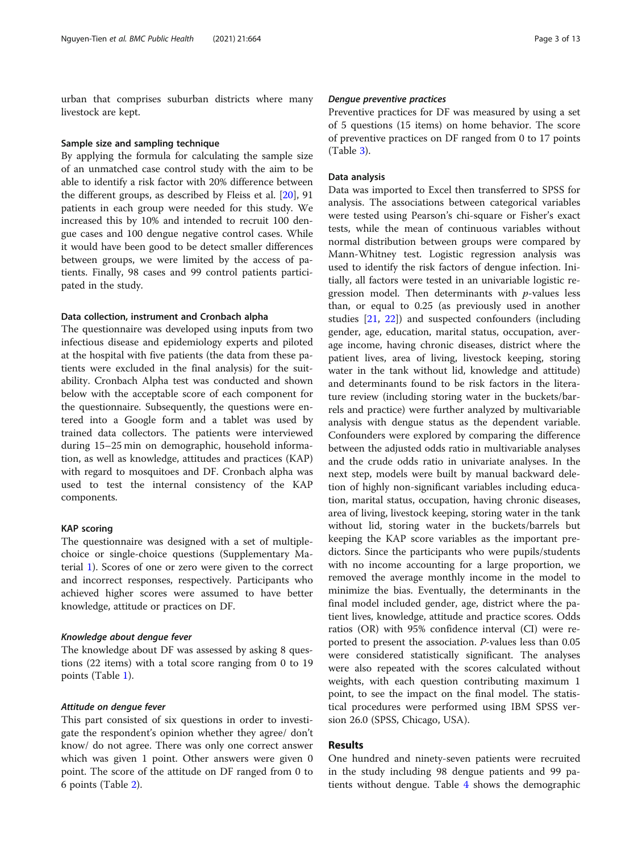urban that comprises suburban districts where many livestock are kept.

#### Sample size and sampling technique

By applying the formula for calculating the sample size of an unmatched case control study with the aim to be able to identify a risk factor with 20% difference between the different groups, as described by Fleiss et al. [\[20](#page-12-0)], 91 patients in each group were needed for this study. We increased this by 10% and intended to recruit 100 dengue cases and 100 dengue negative control cases. While it would have been good to be detect smaller differences between groups, we were limited by the access of patients. Finally, 98 cases and 99 control patients participated in the study.

### Data collection, instrument and Cronbach alpha

The questionnaire was developed using inputs from two infectious disease and epidemiology experts and piloted at the hospital with five patients (the data from these patients were excluded in the final analysis) for the suitability. Cronbach Alpha test was conducted and shown below with the acceptable score of each component for the questionnaire. Subsequently, the questions were entered into a Google form and a tablet was used by trained data collectors. The patients were interviewed during 15–25 min on demographic, household information, as well as knowledge, attitudes and practices (KAP) with regard to mosquitoes and DF. Cronbach alpha was used to test the internal consistency of the KAP components.

# KAP scoring

The questionnaire was designed with a set of multiplechoice or single-choice questions (Supplementary Material [1\)](#page-11-0). Scores of one or zero were given to the correct and incorrect responses, respectively. Participants who achieved higher scores were assumed to have better knowledge, attitude or practices on DF.

# Knowledge about dengue fever

The knowledge about DF was assessed by asking 8 questions (22 items) with a total score ranging from 0 to 19 points (Table [1\)](#page-3-0).

#### Attitude on dengue fever

This part consisted of six questions in order to investigate the respondent's opinion whether they agree/ don't know/ do not agree. There was only one correct answer which was given 1 point. Other answers were given 0 point. The score of the attitude on DF ranged from 0 to 6 points (Table [2\)](#page-4-0).

# Dengue preventive practices

Preventive practices for DF was measured by using a set of 5 questions (15 items) on home behavior. The score of preventive practices on DF ranged from 0 to 17 points (Table [3\)](#page-5-0).

# Data analysis

Data was imported to Excel then transferred to SPSS for analysis. The associations between categorical variables were tested using Pearson's chi-square or Fisher's exact tests, while the mean of continuous variables without normal distribution between groups were compared by Mann-Whitney test. Logistic regression analysis was used to identify the risk factors of dengue infection. Initially, all factors were tested in an univariable logistic regression model. Then determinants with  $p$ -values less than, or equal to 0.25 (as previously used in another studies [[21,](#page-12-0) [22](#page-12-0)]) and suspected confounders (including gender, age, education, marital status, occupation, average income, having chronic diseases, district where the patient lives, area of living, livestock keeping, storing water in the tank without lid, knowledge and attitude) and determinants found to be risk factors in the literature review (including storing water in the buckets/barrels and practice) were further analyzed by multivariable analysis with dengue status as the dependent variable. Confounders were explored by comparing the difference between the adjusted odds ratio in multivariable analyses and the crude odds ratio in univariate analyses. In the next step, models were built by manual backward deletion of highly non-significant variables including education, marital status, occupation, having chronic diseases, area of living, livestock keeping, storing water in the tank without lid, storing water in the buckets/barrels but keeping the KAP score variables as the important predictors. Since the participants who were pupils/students with no income accounting for a large proportion, we removed the average monthly income in the model to minimize the bias. Eventually, the determinants in the final model included gender, age, district where the patient lives, knowledge, attitude and practice scores. Odds ratios (OR) with 95% confidence interval (CI) were reported to present the association. P-values less than 0.05 were considered statistically significant. The analyses were also repeated with the scores calculated without weights, with each question contributing maximum 1 point, to see the impact on the final model. The statistical procedures were performed using IBM SPSS version 26.0 (SPSS, Chicago, USA).

# Results

One hundred and ninety-seven patients were recruited in the study including 98 dengue patients and 99 patients without dengue. Table [4](#page-6-0) shows the demographic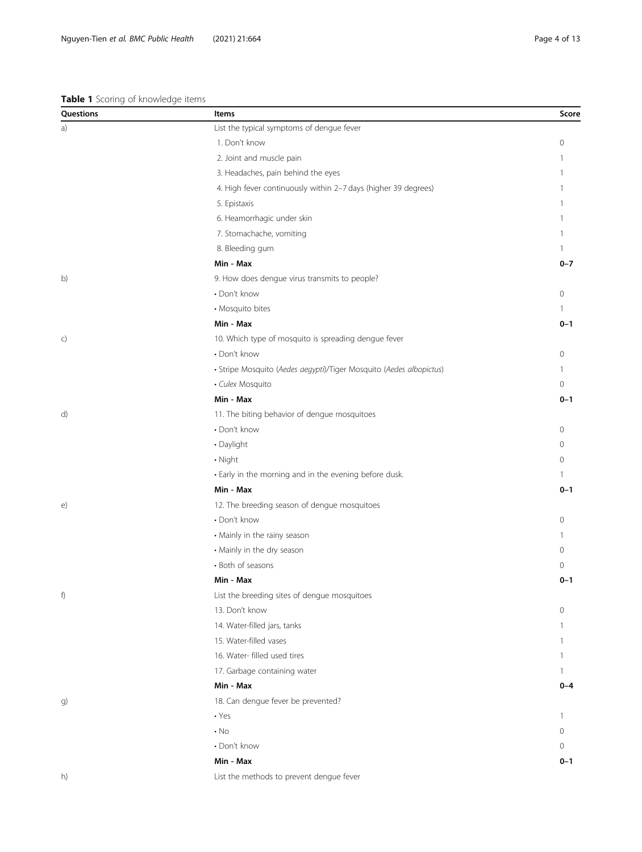#### <span id="page-3-0"></span>Table 1 Scoring of knowledge items

| Questions | <b>Items</b>                                                        | Score        |
|-----------|---------------------------------------------------------------------|--------------|
| a)        | List the typical symptoms of dengue fever                           |              |
|           | 1. Don't know                                                       | $\mathbf{0}$ |
|           | 2. Joint and muscle pain                                            |              |
|           | 3. Headaches, pain behind the eyes                                  |              |
|           | 4. High fever continuously within 2-7 days (higher 39 degrees)      |              |
|           | 5. Epistaxis                                                        |              |
|           | 6. Heamorrhagic under skin                                          |              |
|           | 7. Stomachache, vomiting                                            | -1           |
|           | 8. Bleeding gum                                                     | $\mathbf{1}$ |
|           | Min - Max                                                           | $0 - 7$      |
| b)        | 9. How does dengue virus transmits to people?                       |              |
|           | • Don't know                                                        | $\mathbf 0$  |
|           | • Mosquito bites                                                    | -1           |
|           | Min - Max                                                           | $0 - 1$      |
| c)        | 10. Which type of mosquito is spreading dengue fever                |              |
|           | • Don't know                                                        | 0            |
|           | · Stripe Mosquito (Aedes aegypti)/Tiger Mosquito (Aedes albopictus) | -1           |
|           | · Culex Mosquito                                                    | $\mathbf{0}$ |
|           | Min - Max                                                           | $0 - 1$      |
| d)        | 11. The biting behavior of dengue mosquitoes                        |              |
|           | • Don't know                                                        | $\circ$      |
|           | · Daylight                                                          | 0            |
|           | • Night                                                             | $\circ$      |
|           | • Early in the morning and in the evening before dusk.              | $\mathbf{1}$ |
|           | Min - Max                                                           | $0 - 1$      |
| e)        | 12. The breeding season of dengue mosquitoes                        |              |
|           | • Don't know                                                        | $\circ$      |
|           | • Mainly in the rainy season                                        | 1            |
|           | • Mainly in the dry season                                          | $\circ$      |
|           | • Both of seasons                                                   | $\circ$      |
|           | Min - Max                                                           | $0 - 1$      |
| f)        | List the breeding sites of dengue mosquitoes                        |              |
|           | 13. Don't know                                                      | $\mathbf{0}$ |
|           | 14. Water-filled jars, tanks                                        | 1            |
|           | 15. Water-filled vases                                              | 1            |
|           | 16. Water- filled used tires                                        | 1            |
|           | 17. Garbage containing water                                        | $\mathbf{1}$ |
|           | Min - Max                                                           | $0 - 4$      |
| g)        | 18. Can dengue fever be prevented?                                  |              |
|           | $\cdot$ Yes                                                         | -1           |
|           | $\cdot$ No                                                          | $\mathbf{0}$ |
|           | • Don't know                                                        | $\mathbf{0}$ |
|           | Min - Max                                                           | $0 - 1$      |
| h)        | List the methods to prevent dengue fever                            |              |
|           |                                                                     |              |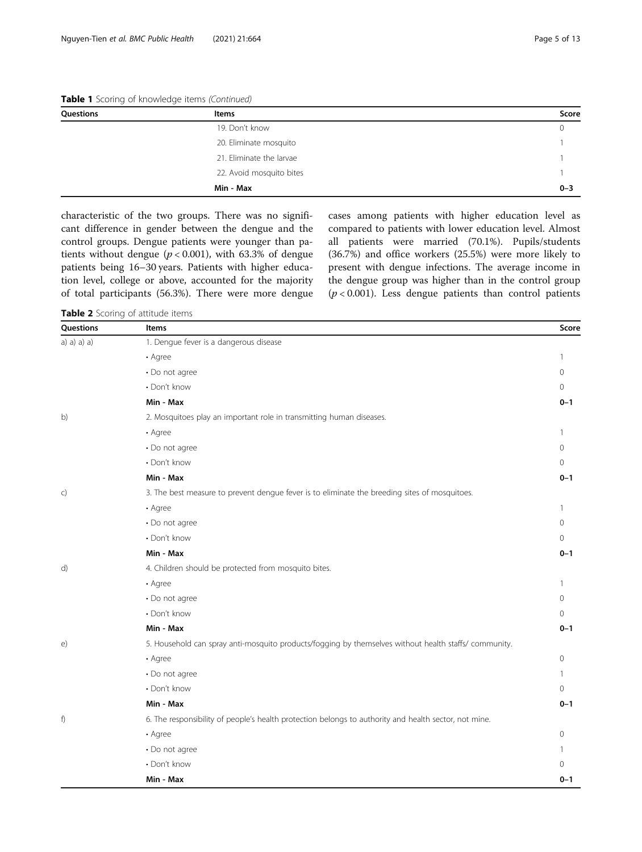<span id="page-4-0"></span>Table 1 Scoring of knowledge items (Continued)

| Questions | Items                    | Score   |
|-----------|--------------------------|---------|
|           | 19. Don't know           |         |
|           | 20. Eliminate mosquito   |         |
|           | 21. Eliminate the larvae |         |
|           | 22. Avoid mosquito bites |         |
|           | Min - Max                | $0 - 3$ |

characteristic of the two groups. There was no significant difference in gender between the dengue and the control groups. Dengue patients were younger than patients without dengue ( $p < 0.001$ ), with 63.3% of dengue patients being 16–30 years. Patients with higher education level, college or above, accounted for the majority of total participants (56.3%). There were more dengue cases among patients with higher education level as compared to patients with lower education level. Almost all patients were married (70.1%). Pupils/students (36.7%) and office workers (25.5%) were more likely to present with dengue infections. The average income in the dengue group was higher than in the control group  $(p < 0.001)$ . Less dengue patients than control patients

Table 2 Scoring of attitude items

| Questions    | Items                                                                                                 | Score    |
|--------------|-------------------------------------------------------------------------------------------------------|----------|
| a) a) a) a)  | 1. Dengue fever is a dangerous disease                                                                |          |
|              | • Agree                                                                                               | 1        |
|              | • Do not agree                                                                                        | 0        |
|              | • Don't know                                                                                          | 0        |
|              | Min - Max                                                                                             | $0 - 1$  |
| b)           | 2. Mosquitoes play an important role in transmitting human diseases.                                  |          |
|              | • Agree                                                                                               | 1        |
|              | • Do not agree                                                                                        | 0        |
|              | • Don't know                                                                                          | 0        |
|              | Min - Max                                                                                             | $0 - 1$  |
| $\mathsf{C}$ | 3. The best measure to prevent dengue fever is to eliminate the breeding sites of mosquitoes.         |          |
|              | • Agree                                                                                               | 1        |
|              | • Do not agree                                                                                        | 0        |
|              | • Don't know                                                                                          | 0        |
|              | Min - Max                                                                                             | $0 - 1$  |
| d)           | 4. Children should be protected from mosquito bites.                                                  |          |
|              | • Agree                                                                                               | 1        |
|              | • Do not agree                                                                                        | 0        |
|              | • Don't know                                                                                          | $\Omega$ |
|              | Min - Max                                                                                             | $0 - 1$  |
| $\epsilon$   | 5. Household can spray anti-mosquito products/fogging by themselves without health staffs/ community. |          |
|              | • Agree                                                                                               | 0        |
|              | • Do not agree                                                                                        | 1        |
|              | • Don't know                                                                                          | 0        |
|              | Min - Max                                                                                             | $0 - 1$  |
| f)           | 6. The responsibility of people's health protection belongs to authority and health sector, not mine. |          |
|              | • Agree                                                                                               | 0        |
|              | • Do not agree                                                                                        | 1        |
|              | • Don't know                                                                                          | 0        |
|              | Min - Max                                                                                             | $0 - 1$  |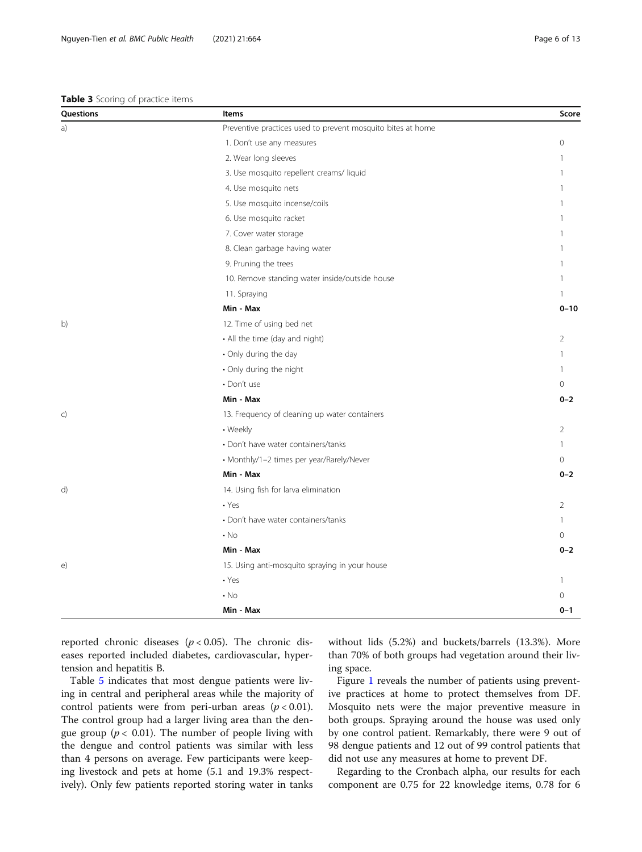# <span id="page-5-0"></span>Table 3 Scoring of practice items

| Questions | Items                                                       | Score          |
|-----------|-------------------------------------------------------------|----------------|
| a)        | Preventive practices used to prevent mosquito bites at home |                |
|           | 1. Don't use any measures                                   | $\Omega$       |
|           | 2. Wear long sleeves                                        |                |
|           | 3. Use mosquito repellent creams/liquid                     | 1              |
|           | 4. Use mosquito nets                                        | 1              |
|           | 5. Use mosquito incense/coils                               |                |
|           | 6. Use mosquito racket                                      | 1              |
|           | 7. Cover water storage                                      |                |
|           | 8. Clean garbage having water                               | -1             |
|           | 9. Pruning the trees                                        |                |
|           | 10. Remove standing water inside/outside house              | 1              |
|           | 11. Spraying                                                | 1              |
|           | Min - Max                                                   | $0 - 10$       |
| b)        | 12. Time of using bed net                                   |                |
|           | • All the time (day and night)                              | $\overline{2}$ |
|           | • Only during the day                                       | $\mathbf{1}$   |
|           | • Only during the night                                     | 1              |
|           | · Don't use                                                 | $\Omega$       |
|           | Min - Max                                                   | $0 - 2$        |
| c)        | 13. Frequency of cleaning up water containers               |                |
|           | • Weekly                                                    | $\overline{2}$ |
|           | • Don't have water containers/tanks                         | 1              |
|           | • Monthly/1-2 times per year/Rarely/Never                   | $\Omega$       |
|           | Min - Max                                                   | $0 - 2$        |
| d)        | 14. Using fish for larva elimination                        |                |
|           | $\cdot$ Yes                                                 | $\overline{2}$ |
|           | • Don't have water containers/tanks                         | $\mathbf{1}$   |
|           | $\cdot$ No                                                  | $\Omega$       |
|           | Min - Max                                                   | $0 - 2$        |
| e)        | 15. Using anti-mosquito spraying in your house              |                |
|           | $\cdot$ Yes                                                 | $\mathbf{1}$   |
|           | $\cdot$ No                                                  | 0              |
|           | Min - Max                                                   | $0 - 1$        |

reported chronic diseases ( $p < 0.05$ ). The chronic diseases reported included diabetes, cardiovascular, hypertension and hepatitis B.

Table [5](#page-7-0) indicates that most dengue patients were living in central and peripheral areas while the majority of control patients were from peri-urban areas  $(p < 0.01)$ . The control group had a larger living area than the dengue group ( $p < 0.01$ ). The number of people living with the dengue and control patients was similar with less than 4 persons on average. Few participants were keeping livestock and pets at home (5.1 and 19.3% respectively). Only few patients reported storing water in tanks without lids (5.2%) and buckets/barrels (13.3%). More than 70% of both groups had vegetation around their living space.

Figure [1](#page-8-0) reveals the number of patients using preventive practices at home to protect themselves from DF. Mosquito nets were the major preventive measure in both groups. Spraying around the house was used only by one control patient. Remarkably, there were 9 out of 98 dengue patients and 12 out of 99 control patients that did not use any measures at home to prevent DF.

Regarding to the Cronbach alpha, our results for each component are 0.75 for 22 knowledge items, 0.78 for 6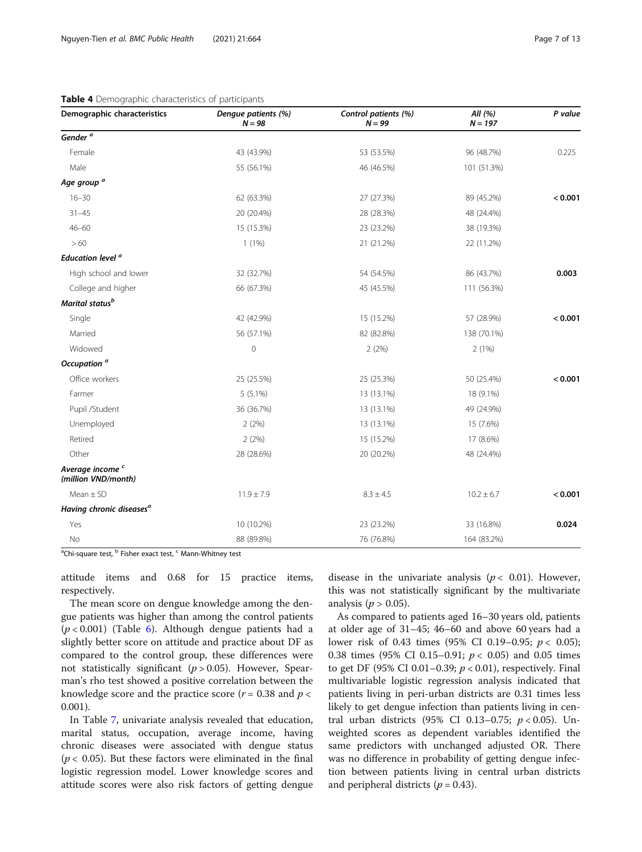# <span id="page-6-0"></span>Table 4 Demographic characteristics of participants

| Demographic characteristics                        | Dengue patients (%)<br>$N = 98$ | Control patients (%)<br>$N = 99$ | All (%)<br>$N = 197$ | P value |
|----------------------------------------------------|---------------------------------|----------------------------------|----------------------|---------|
| Gender <sup>a</sup>                                |                                 |                                  |                      |         |
| Female                                             | 43 (43.9%)                      | 53 (53.5%)                       | 96 (48.7%)           | 0.225   |
| Male                                               | 55 (56.1%)                      | 46 (46.5%)                       | 101 (51.3%)          |         |
| Age group <sup>a</sup>                             |                                 |                                  |                      |         |
| $16 - 30$                                          | 62 (63.3%)                      | 27 (27.3%)                       | 89 (45.2%)           | < 0.001 |
| $31 - 45$                                          | 20 (20.4%)                      | 28 (28.3%)                       | 48 (24.4%)           |         |
| $46 - 60$                                          | 15 (15.3%)                      | 23 (23.2%)                       | 38 (19.3%)           |         |
| >60                                                | $1(1\%)$                        | 21 (21.2%)                       | 22 (11.2%)           |         |
| Education level <sup>a</sup>                       |                                 |                                  |                      |         |
| High school and lower                              | 32 (32.7%)                      | 54 (54.5%)                       | 86 (43.7%)           | 0.003   |
| College and higher                                 | 66 (67.3%)                      | 45 (45.5%)                       | 111 (56.3%)          |         |
| Marital status <sup>b</sup>                        |                                 |                                  |                      |         |
| Single                                             | 42 (42.9%)                      | 15 (15.2%)                       | 57 (28.9%)           | < 0.001 |
| Married                                            | 56 (57.1%)                      | 82 (82.8%)                       | 138 (70.1%)          |         |
| Widowed                                            | $\overline{0}$                  | 2(2%)                            | 2(1%)                |         |
| Occupation <sup>a</sup>                            |                                 |                                  |                      |         |
| Office workers                                     | 25 (25.5%)                      | 25 (25.3%)                       | 50 (25.4%)           | < 0.001 |
| Farmer                                             | $5(5.1\%)$                      | 13 (13.1%)                       | 18 (9.1%)            |         |
| Pupil /Student                                     | 36 (36.7%)                      | 13 (13.1%)                       | 49 (24.9%)           |         |
| Unemployed                                         | 2(2%)                           | 13 (13.1%)                       | 15 (7.6%)            |         |
| Retired                                            | 2(2%)                           | 15 (15.2%)                       | 17 (8.6%)            |         |
| Other                                              | 28 (28.6%)                      | 20 (20.2%)                       | 48 (24.4%)           |         |
| Average income <sup>c</sup><br>(million VND/month) |                                 |                                  |                      |         |
| $Mean \pm SD$                                      | $11.9 \pm 7.9$                  | $8.3 \pm 4.5$                    | $10.2 \pm 6.7$       | < 0.001 |
| Having chronic diseases <sup>a</sup>               |                                 |                                  |                      |         |
| Yes                                                | 10 (10.2%)                      | 23 (23.2%)                       | 33 (16.8%)           | 0.024   |
| No                                                 | 88 (89.8%)                      | 76 (76.8%)                       | 164 (83.2%)          |         |

<sup>a</sup>Chi-square test, <sup>b</sup> Fisher exact test, <sup>c</sup> Mann-Whitney test

attitude items and 0.68 for 15 practice items, respectively.

The mean score on dengue knowledge among the dengue patients was higher than among the control patients  $(p < 0.001)$  (Table [6](#page-8-0)). Although dengue patients had a slightly better score on attitude and practice about DF as compared to the control group, these differences were not statistically significant ( $p > 0.05$ ). However, Spearman's rho test showed a positive correlation between the knowledge score and the practice score  $(r = 0.38$  and  $p <$ 0.001).

In Table [7](#page-9-0), univariate analysis revealed that education, marital status, occupation, average income, having chronic diseases were associated with dengue status ( $p$  < 0.05). But these factors were eliminated in the final logistic regression model. Lower knowledge scores and attitude scores were also risk factors of getting dengue disease in the univariate analysis ( $p < 0.01$ ). However, this was not statistically significant by the multivariate analysis ( $p > 0.05$ ).

As compared to patients aged 16–30 years old, patients at older age of 31–45; 46–60 and above 60 years had a lower risk of 0.43 times (95% CI 0.19–0.95;  $p < 0.05$ ); 0.38 times (95% CI 0.15–0.91;  $p < 0.05$ ) and 0.05 times to get DF (95% CI 0.01-0.39;  $p < 0.01$ ), respectively. Final multivariable logistic regression analysis indicated that patients living in peri-urban districts are 0.31 times less likely to get dengue infection than patients living in central urban districts (95% CI 0.13-0.75;  $p < 0.05$ ). Unweighted scores as dependent variables identified the same predictors with unchanged adjusted OR. There was no difference in probability of getting dengue infection between patients living in central urban districts and peripheral districts  $(p = 0.43)$ .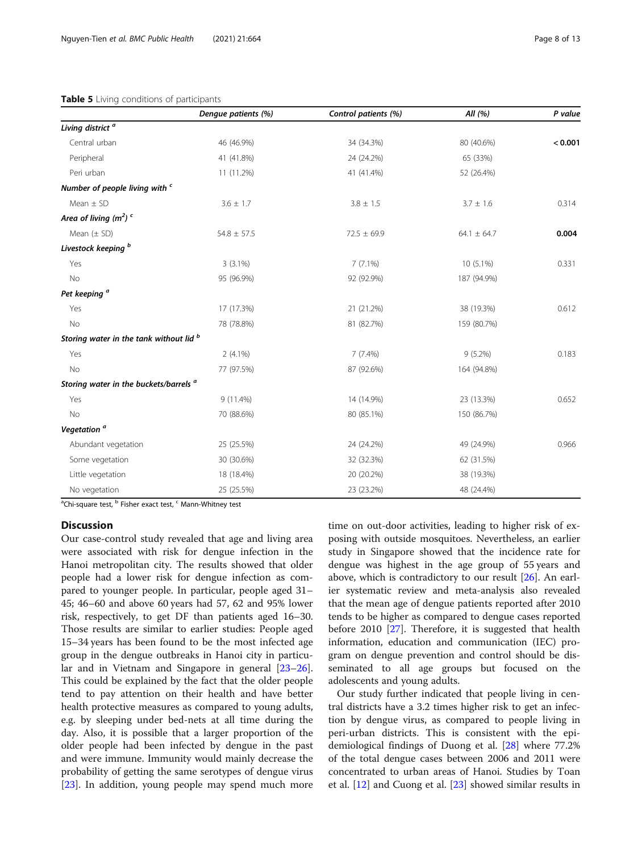#### <span id="page-7-0"></span>Table 5 Living conditions of participants

|                                                   | Dengue patients (%) | Control patients (%) | All $(% )$      | P value |
|---------------------------------------------------|---------------------|----------------------|-----------------|---------|
| Living district <sup>a</sup>                      |                     |                      |                 |         |
| Central urban                                     | 46 (46.9%)          | 34 (34.3%)           | 80 (40.6%)      | < 0.001 |
| Peripheral                                        | 41 (41.8%)          | 24 (24.2%)           | 65 (33%)        |         |
| Peri urban                                        | 11 (11.2%)          | 41 (41.4%)           | 52 (26.4%)      |         |
| Number of people living with c                    |                     |                      |                 |         |
| Mean $\pm$ SD                                     | $3.6 \pm 1.7$       | $3.8 \pm 1.5$        | $3.7 \pm 1.6$   | 0.314   |
| Area of living $(m^2)$ <sup>c</sup>               |                     |                      |                 |         |
| Mean $(\pm$ SD)                                   | $54.8 \pm 57.5$     | $72.5 \pm 69.9$      | $64.1 \pm 64.7$ | 0.004   |
| Livestock keeping <sup>b</sup>                    |                     |                      |                 |         |
| Yes                                               | $3(3.1\%)$          | $7(7.1\%)$           | 10 (5.1%)       | 0.331   |
| No                                                | 95 (96.9%)          | 92 (92.9%)           | 187 (94.9%)     |         |
| Pet keeping <sup>a</sup>                          |                     |                      |                 |         |
| Yes                                               | 17 (17.3%)          | 21 (21.2%)           | 38 (19.3%)      | 0.612   |
| No                                                | 78 (78.8%)          | 81 (82.7%)           | 159 (80.7%)     |         |
| Storing water in the tank without lid b           |                     |                      |                 |         |
| Yes                                               | $2(4.1\%)$          | $7(7.4\%)$           | $9(5.2\%)$      | 0.183   |
| No                                                | 77 (97.5%)          | 87 (92.6%)           | 164 (94.8%)     |         |
| Storing water in the buckets/barrels <sup>a</sup> |                     |                      |                 |         |
| Yes                                               | 9 (11.4%)           | 14 (14.9%)           | 23 (13.3%)      | 0.652   |
| No                                                | 70 (88.6%)          | 80 (85.1%)           | 150 (86.7%)     |         |
| Vegetation <sup>a</sup>                           |                     |                      |                 |         |
| Abundant vegetation                               | 25 (25.5%)          | 24 (24.2%)           | 49 (24.9%)      | 0.966   |
| Some vegetation                                   | 30 (30.6%)          | 32 (32.3%)           | 62 (31.5%)      |         |
| Little vegetation                                 | 18 (18.4%)          | 20 (20.2%)           | 38 (19.3%)      |         |
| No vegetation                                     | 25 (25.5%)          | 23 (23.2%)           | 48 (24.4%)      |         |

<sup>a</sup>Chi-square test, <sup>b</sup> Fisher exact test, <sup>c</sup> Mann-Whitney test

# **Discussion**

Our case-control study revealed that age and living area were associated with risk for dengue infection in the Hanoi metropolitan city. The results showed that older people had a lower risk for dengue infection as compared to younger people. In particular, people aged 31– 45; 46–60 and above 60 years had 57, 62 and 95% lower risk, respectively, to get DF than patients aged 16–30. Those results are similar to earlier studies: People aged 15–34 years has been found to be the most infected age group in the dengue outbreaks in Hanoi city in particular and in Vietnam and Singapore in general [[23](#page-12-0)–[26](#page-12-0)]. This could be explained by the fact that the older people tend to pay attention on their health and have better health protective measures as compared to young adults, e.g. by sleeping under bed-nets at all time during the day. Also, it is possible that a larger proportion of the older people had been infected by dengue in the past and were immune. Immunity would mainly decrease the probability of getting the same serotypes of dengue virus [[23\]](#page-12-0). In addition, young people may spend much more

time on out-door activities, leading to higher risk of exposing with outside mosquitoes. Nevertheless, an earlier study in Singapore showed that the incidence rate for dengue was highest in the age group of 55 years and above, which is contradictory to our result [\[26](#page-12-0)]. An earlier systematic review and meta-analysis also revealed that the mean age of dengue patients reported after 2010 tends to be higher as compared to dengue cases reported before 2010 [[27\]](#page-12-0). Therefore, it is suggested that health information, education and communication (IEC) program on dengue prevention and control should be disseminated to all age groups but focused on the adolescents and young adults.

Our study further indicated that people living in central districts have a 3.2 times higher risk to get an infection by dengue virus, as compared to people living in peri-urban districts. This is consistent with the epidemiological findings of Duong et al. [[28\]](#page-12-0) where 77.2% of the total dengue cases between 2006 and 2011 were concentrated to urban areas of Hanoi. Studies by Toan et al. [[12](#page-11-0)] and Cuong et al. [[23](#page-12-0)] showed similar results in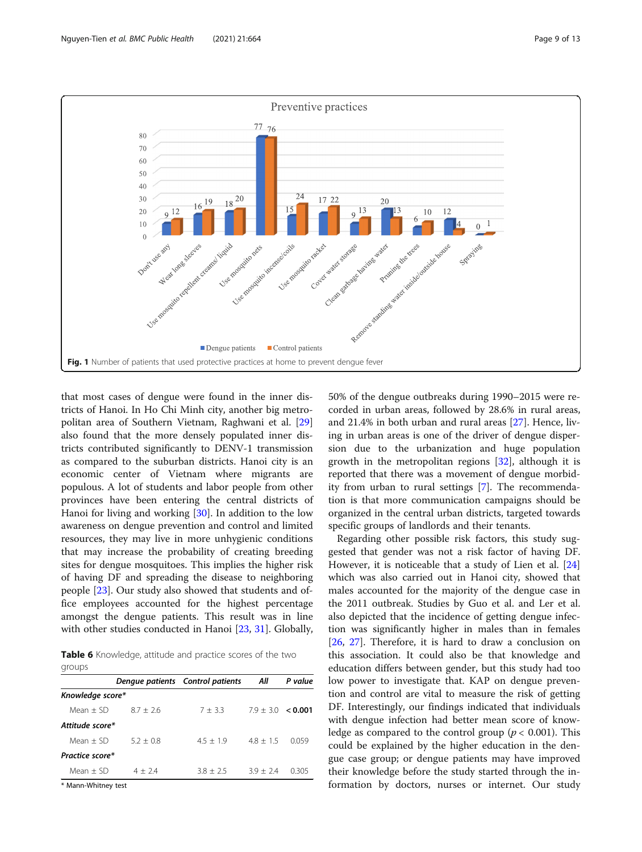<span id="page-8-0"></span>

that most cases of dengue were found in the inner districts of Hanoi. In Ho Chi Minh city, another big metropolitan area of Southern Vietnam, Raghwani et al. [[29](#page-12-0)] also found that the more densely populated inner districts contributed significantly to DENV-1 transmission as compared to the suburban districts. Hanoi city is an economic center of Vietnam where migrants are populous. A lot of students and labor people from other provinces have been entering the central districts of Hanoi for living and working [\[30](#page-12-0)]. In addition to the low awareness on dengue prevention and control and limited resources, they may live in more unhygienic conditions that may increase the probability of creating breeding sites for dengue mosquitoes. This implies the higher risk of having DF and spreading the disease to neighboring people [[23\]](#page-12-0). Our study also showed that students and office employees accounted for the highest percentage amongst the dengue patients. This result was in line with other studies conducted in Hanoi [\[23](#page-12-0), [31](#page-12-0)]. Globally,

**Table 6** Knowledge, attitude and practice scores of the two groups

|                       | Dengue patients Control patients |             | Αll                    | P value |  |
|-----------------------|----------------------------------|-------------|------------------------|---------|--|
| Knowledge score*      |                                  |             |                        |         |  |
| Mean $+$ SD           | $8.7 + 2.6$                      | $7 + 3.3$   | $7.9 + 3.0 \leq 0.001$ |         |  |
| Attitude score*       |                                  |             |                        |         |  |
| Mean $+$ SD           | $5.2 + 0.8$                      | $4.5 + 1.9$ | $4.8 + 1.5$            | 0059    |  |
| Practice score*       |                                  |             |                        |         |  |
| Mean $+$ SD           | $4 + 24$                         | $3.8 + 2.5$ | $39 + 24$              | 0305    |  |
| $#$ Mann Whitnow tost |                                  |             |                        |         |  |

Mann-Whitney test

50% of the dengue outbreaks during 1990–2015 were recorded in urban areas, followed by 28.6% in rural areas, and 21.4% in both urban and rural areas [\[27\]](#page-12-0). Hence, living in urban areas is one of the driver of dengue dispersion due to the urbanization and huge population growth in the metropolitan regions [\[32](#page-12-0)], although it is reported that there was a movement of dengue morbidity from urban to rural settings [[7](#page-11-0)]. The recommendation is that more communication campaigns should be organized in the central urban districts, targeted towards specific groups of landlords and their tenants.

Regarding other possible risk factors, this study suggested that gender was not a risk factor of having DF. However, it is noticeable that a study of Lien et al. [[24](#page-12-0)] which was also carried out in Hanoi city, showed that males accounted for the majority of the dengue case in the 2011 outbreak. Studies by Guo et al. and Ler et al. also depicted that the incidence of getting dengue infection was significantly higher in males than in females [[26,](#page-12-0) [27\]](#page-12-0). Therefore, it is hard to draw a conclusion on this association. It could also be that knowledge and education differs between gender, but this study had too low power to investigate that. KAP on dengue prevention and control are vital to measure the risk of getting DF. Interestingly, our findings indicated that individuals with dengue infection had better mean score of knowledge as compared to the control group ( $p < 0.001$ ). This could be explained by the higher education in the dengue case group; or dengue patients may have improved their knowledge before the study started through the information by doctors, nurses or internet. Our study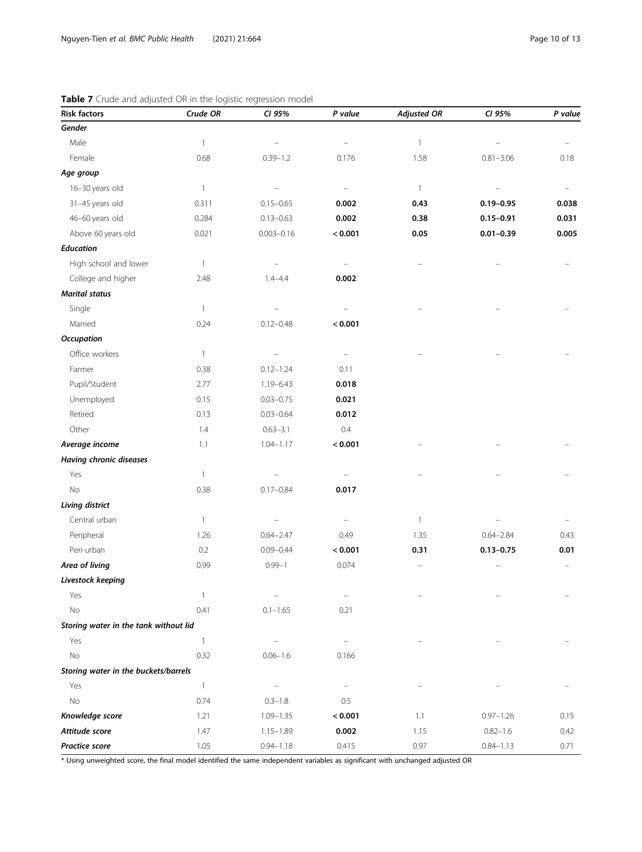| <b>Risk factors</b>                   | Crude OR                 | CI 95%            | P value  | <b>Adjusted OR</b> | CI 95%        | P value |
|---------------------------------------|--------------------------|-------------------|----------|--------------------|---------------|---------|
| Gender                                |                          |                   |          |                    |               |         |
| Male                                  | $\overline{\phantom{a}}$ |                   |          | $\mathbf{1}$       |               |         |
| Female                                | 0.68                     | $0.39 - 1.2$      | 0.176    | 1.58               | $0.81 - 3.06$ | 0.18    |
| Age group                             |                          |                   |          |                    |               |         |
| 16-30 years old                       | $\overline{1}$           |                   |          | $\mathbf{1}$       |               |         |
| 31-45 years old                       | 0.311                    | $0.15 - 0.65$     | 0.002    | 0.43               | $0.19 - 0.95$ | 0.038   |
| 46-60 years old                       | 0.284                    | $0.13 - 0.63$     | 0.002    | 0.38               | $0.15 - 0.91$ | 0.031   |
| Above 60 years old                    | 0.021                    | $0.003 - 0.16$    | < 0.001  | 0.05               | $0.01 - 0.39$ | 0.005   |
| <b>Education</b>                      |                          |                   |          |                    |               |         |
| High school and lower                 | $\mathbf{1}$             |                   |          |                    |               |         |
| College and higher                    | 2.48                     | $1.4 - 4.4$       | 0.002    |                    |               |         |
| <b>Marital status</b>                 |                          |                   |          |                    |               |         |
| Single                                | $\mathbf{1}$             |                   |          |                    |               |         |
| Married                               | 0.24                     | $0.12 - 0.48$     | < 0.001  |                    |               |         |
| <b>Occupation</b>                     |                          |                   |          |                    |               |         |
| Office workers                        | $\overline{1}$           |                   |          |                    |               |         |
| Farmer                                | 0.38                     | $0.12 - 1.24$     | 0.11     |                    |               |         |
| Pupil/Student                         | 2.77                     | 1.19-6.43         | 0.018    |                    |               |         |
| Unemployed                            | 0.15                     | $0.03 - 0.75$     | 0.021    |                    |               |         |
| Retired                               | 0.13                     | $0.03 - 0.64$     | 0.012    |                    |               |         |
| Other                                 | 1.4                      | $0.63 - 3.1$      | $0.4\,$  |                    |               |         |
| Average income                        | 1.1                      | $1.04 - 1.17$     | < 0.001  |                    |               |         |
| Having chronic diseases               |                          |                   |          |                    |               |         |
| Yes                                   | $\overline{1}$           |                   |          |                    |               |         |
| No                                    | 0.38                     | $0.17 - 0.84$     | 0.017    |                    |               |         |
| Living district                       |                          |                   |          |                    |               |         |
| Central urban                         | $\mathbf{1}$             |                   |          | $\mathbf{1}$       |               |         |
| Peripheral                            | 1.26                     | $0.64 - 2.47$     | 0.49     | 1.35               | $0.64 - 2.84$ | 0.43    |
| Peri-urban                            | 0.2                      | $0.09 - 0.44$     | < 0.001  | 0.31               | $0.13 - 0.75$ | 0.01    |
| Area of living                        | 0.99                     | $0.99 - 1$        | 0.074    |                    |               |         |
| Livestock keeping                     |                          |                   |          |                    |               |         |
| Yes                                   | $\overline{\phantom{a}}$ | $\qquad \qquad -$ | $\equiv$ |                    |               |         |
| No                                    | 0.41                     | $0.1 - 1.65$      | 0.21     |                    |               |         |
| Storing water in the tank without lid |                          |                   |          |                    |               |         |
| Yes                                   | $\overline{1}$           |                   |          |                    |               |         |
| No                                    | 0.32                     | $0.06 - 1.6$      | 0.166    |                    |               |         |
| Storing water in the buckets/barrels  |                          |                   |          |                    |               |         |
| Yes                                   | $\overline{\phantom{a}}$ |                   |          |                    |               |         |
| No                                    | 0.74                     | $0.3 - 1.8$       | 0.5      |                    |               |         |
| Knowledge score                       | 1.21                     | $1.09 - 1.35$     | < 0.001  | 1.1                | $0.97 - 1.26$ | 0.15    |
| Attitude score                        | 1.47                     | $1.15 - 1.89$     | 0.002    | 1.15               | $0.82 - 1.6$  | 0.42    |
| <b>Practice score</b>                 | 1.05                     | $0.94 - 1.18$     | 0.415    | 0.97               | $0.84 - 1.13$ | 0.71    |

<span id="page-9-0"></span>

| Table 7 Crude and adjusted OR in the logistic regression model |  |  |  |  |
|----------------------------------------------------------------|--|--|--|--|
|                                                                |  |  |  |  |

\* Using unweighted score, the final model identified the same independent variables as significant with unchanged adjusted OR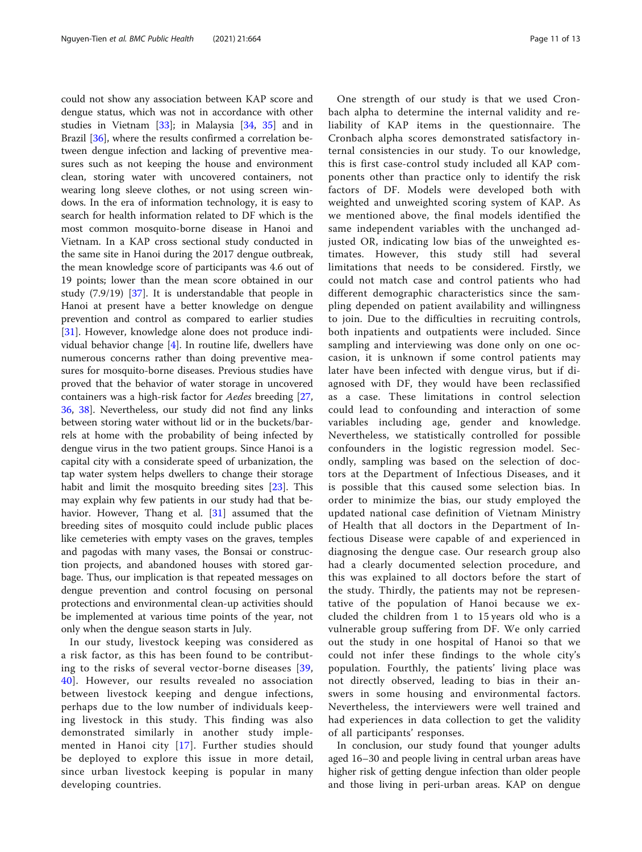could not show any association between KAP score and dengue status, which was not in accordance with other studies in Vietnam [[33](#page-12-0)]; in Malaysia [[34,](#page-12-0) [35](#page-12-0)] and in Brazil [\[36](#page-12-0)], where the results confirmed a correlation between dengue infection and lacking of preventive measures such as not keeping the house and environment clean, storing water with uncovered containers, not wearing long sleeve clothes, or not using screen windows. In the era of information technology, it is easy to search for health information related to DF which is the most common mosquito-borne disease in Hanoi and Vietnam. In a KAP cross sectional study conducted in the same site in Hanoi during the 2017 dengue outbreak, the mean knowledge score of participants was 4.6 out of 19 points; lower than the mean score obtained in our study (7.9/19) [\[37](#page-12-0)]. It is understandable that people in Hanoi at present have a better knowledge on dengue prevention and control as compared to earlier studies [[31\]](#page-12-0). However, knowledge alone does not produce individual behavior change [\[4](#page-11-0)]. In routine life, dwellers have numerous concerns rather than doing preventive measures for mosquito-borne diseases. Previous studies have proved that the behavior of water storage in uncovered containers was a high-risk factor for Aedes breeding [[27](#page-12-0), [36,](#page-12-0) [38\]](#page-12-0). Nevertheless, our study did not find any links between storing water without lid or in the buckets/barrels at home with the probability of being infected by dengue virus in the two patient groups. Since Hanoi is a capital city with a considerate speed of urbanization, the tap water system helps dwellers to change their storage habit and limit the mosquito breeding sites [\[23](#page-12-0)]. This may explain why few patients in our study had that behavior. However, Thang et al. [[31\]](#page-12-0) assumed that the breeding sites of mosquito could include public places like cemeteries with empty vases on the graves, temples and pagodas with many vases, the Bonsai or construction projects, and abandoned houses with stored garbage. Thus, our implication is that repeated messages on dengue prevention and control focusing on personal protections and environmental clean-up activities should be implemented at various time points of the year, not only when the dengue season starts in July.

In our study, livestock keeping was considered as a risk factor, as this has been found to be contributing to the risks of several vector-borne diseases [[39](#page-12-0), [40](#page-12-0)]. However, our results revealed no association between livestock keeping and dengue infections, perhaps due to the low number of individuals keeping livestock in this study. This finding was also demonstrated similarly in another study implemented in Hanoi city [[17](#page-11-0)]. Further studies should be deployed to explore this issue in more detail, since urban livestock keeping is popular in many developing countries.

One strength of our study is that we used Cronbach alpha to determine the internal validity and reliability of KAP items in the questionnaire. The Cronbach alpha scores demonstrated satisfactory internal consistencies in our study. To our knowledge, this is first case-control study included all KAP components other than practice only to identify the risk factors of DF. Models were developed both with weighted and unweighted scoring system of KAP. As we mentioned above, the final models identified the same independent variables with the unchanged adjusted OR, indicating low bias of the unweighted estimates. However, this study still had several limitations that needs to be considered. Firstly, we could not match case and control patients who had different demographic characteristics since the sampling depended on patient availability and willingness to join. Due to the difficulties in recruiting controls, both inpatients and outpatients were included. Since sampling and interviewing was done only on one occasion, it is unknown if some control patients may later have been infected with dengue virus, but if diagnosed with DF, they would have been reclassified as a case. These limitations in control selection could lead to confounding and interaction of some variables including age, gender and knowledge. Nevertheless, we statistically controlled for possible confounders in the logistic regression model. Secondly, sampling was based on the selection of doctors at the Department of Infectious Diseases, and it is possible that this caused some selection bias. In order to minimize the bias, our study employed the updated national case definition of Vietnam Ministry of Health that all doctors in the Department of Infectious Disease were capable of and experienced in diagnosing the dengue case. Our research group also had a clearly documented selection procedure, and this was explained to all doctors before the start of the study. Thirdly, the patients may not be representative of the population of Hanoi because we excluded the children from 1 to 15 years old who is a vulnerable group suffering from DF. We only carried out the study in one hospital of Hanoi so that we could not infer these findings to the whole city's population. Fourthly, the patients' living place was not directly observed, leading to bias in their answers in some housing and environmental factors. Nevertheless, the interviewers were well trained and had experiences in data collection to get the validity of all participants' responses.

In conclusion, our study found that younger adults aged 16–30 and people living in central urban areas have higher risk of getting dengue infection than older people and those living in peri-urban areas. KAP on dengue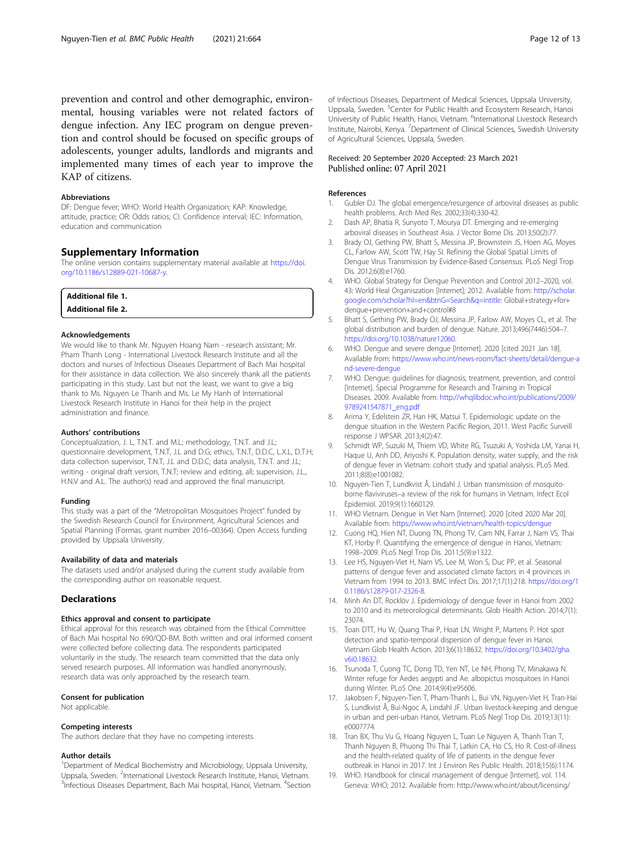<span id="page-11-0"></span>prevention and control and other demographic, environmental, housing variables were not related factors of dengue infection. Any IEC program on dengue prevention and control should be focused on specific groups of adolescents, younger adults, landlords and migrants and implemented many times of each year to improve the KAP of citizens.

#### Abbreviations

DF: Dengue fever; WHO: World Health Organization; KAP: Knowledge, attitude, practice; OR: Odds ratios; CI: Confidence interval; IEC: Information, education and communication

# Supplementary Information

The online version contains supplementary material available at [https://doi.](https://doi.org/10.1186/s12889-021-10687-y) [org/10.1186/s12889-021-10687-y](https://doi.org/10.1186/s12889-021-10687-y).

| <b>Additional file 1.</b> |  |  |
|---------------------------|--|--|
| <b>Additional file 2.</b> |  |  |

#### Acknowledgements

We would like to thank Mr. Nguyen Hoang Nam - research assistant; Mr. Pham Thanh Long - International Livestock Research Institute and all the doctors and nurses of Infectious Diseases Department of Bach Mai hospital for their assistance in data collection. We also sincerely thank all the patients participating in this study. Last but not the least, we want to give a big thank to Ms. Nguyen Le Thanh and Ms. Le My Hanh of International Livestock Research Institute in Hanoi for their help in the project administration and finance.

#### Authors' contributions

Conceptualization, J. L, T.N.T. and M.L; methodology, T.N.T. and J.L; questionnaire development, T.N.T, J.L and D.G; ethics, T.N.T, D.D.C, L.X.L, D.T.H; data collection supervisor, T.N.T, J.L and D.D.C; data analysis, T.N.T. and J.L; writing - original draft version, T.N.T; review and editing, all; supervision, J.L., H.N.V and A.L. The author(s) read and approved the final manuscript.

#### Funding

This study was a part of the "Metropolitan Mosquitoes Project" funded by the Swedish Research Council for Environment, Agricultural Sciences and Spatial Planning (Formas, grant number 2016–00364). Open Access funding provided by Uppsala University.

#### Availability of data and materials

The datasets used and/or analysed during the current study available from the corresponding author on reasonable request.

# **Declarations**

#### Ethics approval and consent to participate

Ethical approval for this research was obtained from the Ethical Committee of Bach Mai hospital No 690/QD-BM. Both written and oral informed consent were collected before collecting data. The respondents participated voluntarily in the study. The research team committed that the data only served research purposes. All information was handled anonymously, research data was only approached by the research team.

#### Consent for publication

Not applicable.

#### Competing interests

The authors declare that they have no competing interests.

#### Author details

<sup>1</sup>Department of Medical Biochemistry and Microbiology, Uppsala University, Uppsala, Sweden. <sup>2</sup>International Livestock Research Institute, Hanoi, Vietnam.<br><sup>3</sup>Infectious Disoases Dopartment, Bach Mai bespital, Hanoi, Vietnam. <sup>4</sup>Section Infectious Diseases Department, Bach Mai hospital, Hanoi, Vietnam. <sup>4</sup>Section of Infectious Diseases, Department of Medical Sciences, Uppsala University, Uppsala, Sweden. <sup>5</sup>Center for Public Health and Ecosystem Research, Hanoi University of Public Health, Hanoi, Vietnam. <sup>6</sup>International Livestock Research Institute, Nairobi, Kenya. <sup>7</sup>Department of Clinical Sciences, Swedish University of Agricultural Sciences, Uppsala, Sweden.

#### Received: 20 September 2020 Accepted: 23 March 2021 Published online: 07 April 2021

### References

- 1. Gubler DJ. The global emergence/resurgence of arboviral diseases as public health problems. Arch Med Res. 2002;33(4):330-42.
- 2. Dash AP, Bhatia R, Sunyoto T, Mourya DT. Emerging and re-emerging arboviral diseases in Southeast Asia. J Vector Borne Dis. 2013;50(2):77.
- 3. Brady OJ, Gething PW, Bhatt S, Messina JP, Brownstein JS, Hoen AG, Moyes CL, Farlow AW, Scott TW, Hay SI. Refining the Global Spatial Limits of Dengue Virus Transmission by Evidence-Based Consensus. PLoS Negl Trop Dis. 2012;6(8):e1760.
- 4. WHO. Global Strategy for Dengue Prevention and Control 2012–2020, vol. 43: World Heal Organiszation [Internet]; 2012. Available from: [http://scholar.](http://scholar.google.com/scholar?hl=en&btnG=Search&q=intitle:) [google.com/scholar?hl=en&btnG=Search&q=intitle:](http://scholar.google.com/scholar?hl=en&btnG=Search&q=intitle:) Global+strategy+for+ dengue+prevention+and+control#8
- 5. Bhatt S, Gething PW, Brady OJ, Messina JP, Farlow AW, Moyes CL, et al. The global distribution and burden of dengue. Nature. 2013;496(7446):504–7. <https://doi.org/10.1038/nature12060>.
- 6. WHO. Dengue and severe dengue [Internet]. 2020 [cited 2021 Jan 18]. Available from: [https://www.who.int/news-room/fact-sheets/detail/dengue-a](https://www.who.int/news-room/fact-sheets/detail/dengue-and-severe-dengue) [nd-severe-dengue](https://www.who.int/news-room/fact-sheets/detail/dengue-and-severe-dengue)
- 7. WHO. Dengue: guidelines for diagnosis, treatment, prevention, and control [Internet]. Special Programme for Research and Training in Tropical Diseases. 2009. Available from: [http://whqlibdoc.who.int/publications/2009/](http://whqlibdoc.who.int/publications/2009/9789241547871_eng.pdf) [9789241547871\\_eng.pdf](http://whqlibdoc.who.int/publications/2009/9789241547871_eng.pdf)
- 8. Arima Y, Edelstein ZR, Han HK, Matsui T. Epidemiologic update on the dengue situation in the Western Pacific Region, 2011. West Pacific Surveill response J WPSAR. 2013;4(2):47.
- 9. Schmidt WP, Suzuki M, Thiem VD, White RG, Tsuzuki A, Yoshida LM, Yanai H, Haque U, Anh DD, Ariyoshi K. Population density, water supply, and the risk of dengue fever in Vietnam: cohort study and spatial analysis. PLoS Med. 2011;8(8):e1001082.
- 10. Nguyen-Tien T, Lundkvist Å, Lindahl J. Urban transmission of mosquitoborne flaviviruses–a review of the risk for humans in Vietnam. Infect Ecol Epidemiol. 2019;9(1):1660129.
- 11. WHO Vietnam. Dengue in Viet Nam [Internet]. 2020 [cited 2020 Mar 20]. Available from: <https://www.who.int/vietnam/health-topics/dengue>
- 12. Cuong HQ, Hien NT, Duong TN, Phong TV, Cam NN, Farrar J, Nam VS, Thai KT, Horby P. Quantifying the emergence of dengue in Hanoi, Vietnam: 1998–2009. PLoS Negl Trop Dis. 2011;5(9):e1322.
- 13. Lee HS, Nguyen-Viet H, Nam VS, Lee M, Won S, Duc PP, et al. Seasonal patterns of dengue fever and associated climate factors in 4 provinces in Vietnam from 1994 to 2013. BMC Infect Dis. 2017;17(1):218. [https://doi.org/1](https://doi.org/10.1186/s12879-017-2326-8) [0.1186/s12879-017-2326-8.](https://doi.org/10.1186/s12879-017-2326-8)
- 14. Minh An DT, Rocklöv J. Epidemiology of dengue fever in Hanoi from 2002 to 2010 and its meteorological determinants. Glob Health Action. 2014;7(1): 23074.
- 15. Toan DTT, Hu W, Quang Thai P, Hoat LN, Wright P, Martens P. Hot spot detection and spatio-temporal dispersion of dengue fever in Hanoi. Vietnam Glob Health Action. 2013;6(1):18632. [https://doi.org/10.3402/gha.](https://doi.org/10.3402/gha.v6i0.18632) [v6i0.18632](https://doi.org/10.3402/gha.v6i0.18632).
- 16. Tsunoda T, Cuong TC, Dong TD, Yen NT, Le NH, Phong TV, Minakawa N. Winter refuge for Aedes aegypti and Ae. albopictus mosquitoes in Hanoi during Winter. PLoS One. 2014;9(4):e95606.
- 17. Jakobsen F, Nguyen-Tien T, Pham-Thanh L, Bui VN, Nguyen-Viet H, Tran-Hai S, Lundkvist Å, Bui-Ngoc A, Lindahl JF. Urban livestock-keeping and dengue in urban and peri-urban Hanoi, Vietnam. PLoS Negl Trop Dis. 2019;13(11): e0007774.
- 18. Tran BX, Thu Vu G, Hoang Nguyen L, Tuan Le Nguyen A, Thanh Tran T, Thanh Nguyen B, Phuong Thi Thai T, Latkin CA, Ho CS, Ho R. Cost-of-illness and the health-related quality of life of patients in the dengue fever outbreak in Hanoi in 2017. Int J Environ Res Public Health. 2018;15(6):1174.
- 19. WHO. Handbook for clinical management of dengue [Internet], vol. 114. Geneva: WHO; 2012. Available from: http://www.who.int/about/licensing/